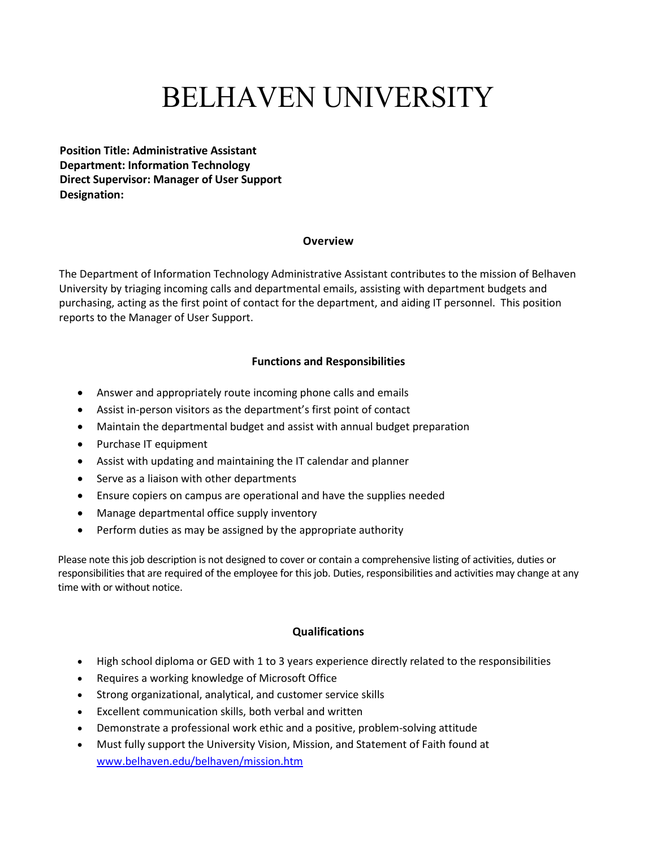# BELHAVEN UNIVERSITY

**Position Title: Administrative Assistant Department: Information Technology Direct Supervisor: Manager of User Support Designation:**

#### **Overview**

The Department of Information Technology Administrative Assistant contributes to the mission of Belhaven University by triaging incoming calls and departmental emails, assisting with department budgets and purchasing, acting as the first point of contact for the department, and aiding IT personnel. This position reports to the Manager of User Support.

### **Functions and Responsibilities**

- Answer and appropriately route incoming phone calls and emails
- Assist in-person visitors as the department's first point of contact
- Maintain the departmental budget and assist with annual budget preparation
- Purchase IT equipment
- Assist with updating and maintaining the IT calendar and planner
- Serve as a liaison with other departments
- Ensure copiers on campus are operational and have the supplies needed
- Manage departmental office supply inventory
- Perform duties as may be assigned by the appropriate authority

Please note this job description is not designed to cover or contain a comprehensive listing of activities, duties or responsibilities that are required of the employee for this job. Duties, responsibilities and activities may change at any time with or without notice.

#### **Qualifications**

- High school diploma or GED with 1 to 3 years experience directly related to the responsibilities
- Requires a working knowledge of Microsoft Office
- Strong organizational, analytical, and customer service skills
- Excellent communication skills, both verbal and written
- Demonstrate a professional work ethic and a positive, problem-solving attitude
- Must fully support the University Vision, Mission, and Statement of Faith found at [www.belhaven.edu/belhaven/mission.htm](http://www.belhaven.edu/belhaven/mission.htm)